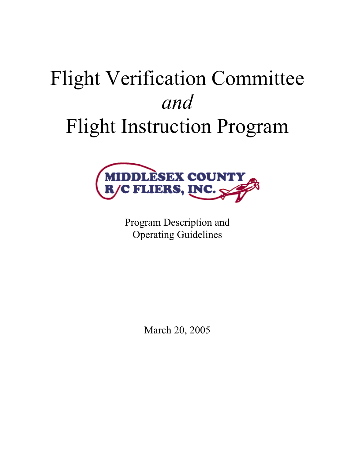# Flight Verification Committee *and*  Flight Instruction Program



Program Description and Operating Guidelines

March 20, 2005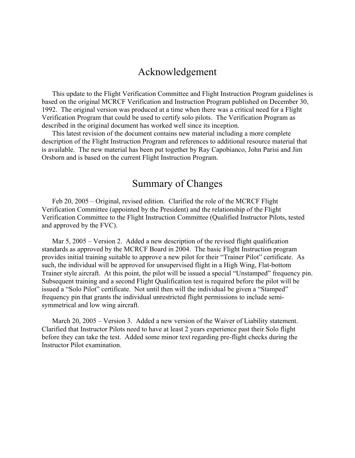# Acknowledgement

This update to the Flight Verification Committee and Flight Instruction Program guidelines is based on the original MCRCF Verification and Instruction Program published on December 30, 1992. The original version was produced at a time when there was a critical need for a Flight Verification Program that could be used to certify solo pilots. The Verification Program as described in the original document has worked well since its inception.

This latest revision of the document contains new material including a more complete description of the Flight Instruction Program and references to additional resource material that is available. The new material has been put together by Ray Capobianco, John Parisi and Jim Orsborn and is based on the current Flight Instruction Program.

# Summary of Changes

Feb 20, 2005 – Original, revised edition. Clarified the role of the MCRCF Flight Verification Committee (appointed by the President) and the relationship of the Flight Verification Committee to the Flight Instruction Committee (Qualified Instructor Pilots, tested and approved by the FVC).

Mar 5, 2005 – Version 2. Added a new description of the revised flight qualification standards as approved by the MCRCF Board in 2004. The basic Flight Instruction program provides initial training suitable to approve a new pilot for their "Trainer Pilot" certificate. As such, the individual will be approved for unsupervised flight in a High Wing, Flat-bottom Trainer style aircraft. At this point, the pilot will be issued a special "Unstamped" frequency pin. Subsequent training and a second Flight Qualification test is required before the pilot will be issued a "Solo Pilot" certificate. Not until then will the individual be given a "Stamped" frequency pin that grants the individual unrestricted flight permissions to include semisymmetrical and low wing aircraft.

March 20, 2005 – Version 3. Added a new version of the Waiver of Liability statement. Clarified that Instructor Pilots need to have at least 2 years experience past their Solo flight before they can take the test. Added some minor text regarding pre-flight checks during the Instructor Pilot examination.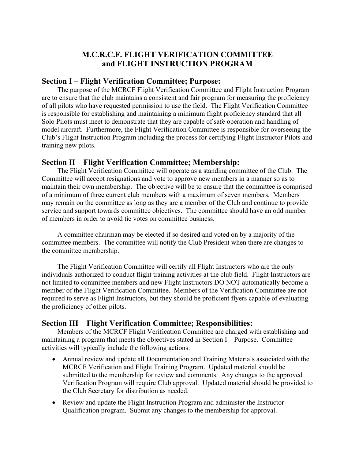### **M.C.R.C.F. FLIGHT VERIFICATION COMMITTEE and FLIGHT INSTRUCTION PROGRAM**

### **Section I – Flight Verification Committee; Purpose:**

The purpose of the MCRCF Flight Verification Committee and Flight Instruction Program are to ensure that the club maintains a consistent and fair program for measuring the proficiency of all pilots who have requested permission to use the field. The Flight Verification Committee is responsible for establishing and maintaining a minimum flight proficiency standard that all Solo Pilots must meet to demonstrate that they are capable of safe operation and handling of model aircraft. Furthermore, the Flight Verification Committee is responsible for overseeing the Club's Flight Instruction Program including the process for certifying Flight Instructor Pilots and training new pilots.

### **Section II – Flight Verification Committee; Membership:**

The Flight Verification Committee will operate as a standing committee of the Club. The Committee will accept resignations and vote to approve new members in a manner so as to maintain their own membership. The objective will be to ensure that the committee is comprised of a minimum of three current club members with a maximum of seven members. Members may remain on the committee as long as they are a member of the Club and continue to provide service and support towards committee objectives. The committee should have an odd number of members in order to avoid tie votes on committee business.

A committee chairman may be elected if so desired and voted on by a majority of the committee members. The committee will notify the Club President when there are changes to the committee membership.

The Flight Verification Committee will certify all Flight Instructors who are the only individuals authorized to conduct flight training activities at the club field. Flight Instructors are not limited to committee members and new Flight Instructors DO NOT automatically become a member of the Flight Verification Committee. Members of the Verification Committee are not required to serve as Flight Instructors, but they should be proficient flyers capable of evaluating the proficiency of other pilots.

### **Section III – Flight Verification Committee; Responsibilities:**

Members of the MCRCF Flight Verification Committee are charged with establishing and maintaining a program that meets the objectives stated in Section I – Purpose. Committee activities will typically include the following actions:

- Annual review and update all Documentation and Training Materials associated with the MCRCF Verification and Flight Training Program. Updated material should be submitted to the membership for review and comments. Any changes to the approved Verification Program will require Club approval. Updated material should be provided to the Club Secretary for distribution as needed.
- Review and update the Flight Instruction Program and administer the Instructor Qualification program. Submit any changes to the membership for approval.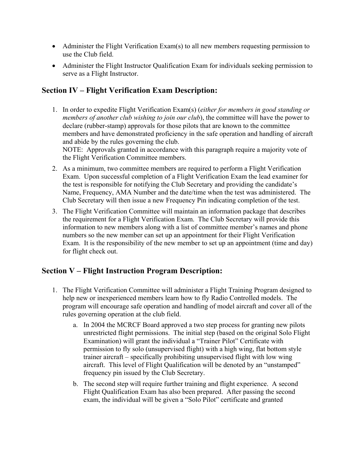- Administer the Flight Verification Exam(s) to all new members requesting permission to use the Club field.
- Administer the Flight Instructor Qualification Exam for individuals seeking permission to serve as a Flight Instructor.

# **Section IV – Flight Verification Exam Description:**

1. In order to expedite Flight Verification Exam(s) (*either for members in good standing or members of another club wishing to join our club*), the committee will have the power to declare (rubber-stamp) approvals for those pilots that are known to the committee members and have demonstrated proficiency in the safe operation and handling of aircraft and abide by the rules governing the club.

NOTE: Approvals granted in accordance with this paragraph require a majority vote of the Flight Verification Committee members.

- 2. As a minimum, two committee members are required to perform a Flight Verification Exam. Upon successful completion of a Flight Verification Exam the lead examiner for the test is responsible for notifying the Club Secretary and providing the candidate's Name, Frequency, AMA Number and the date/time when the test was administered. The Club Secretary will then issue a new Frequency Pin indicating completion of the test.
- 3. The Flight Verification Committee will maintain an information package that describes the requirement for a Flight Verification Exam. The Club Secretary will provide this information to new members along with a list of committee member's names and phone numbers so the new member can set up an appointment for their Flight Verification Exam. It is the responsibility of the new member to set up an appointment (time and day) for flight check out.

# **Section V – Flight Instruction Program Description:**

- 1. The Flight Verification Committee will administer a Flight Training Program designed to help new or inexperienced members learn how to fly Radio Controlled models. The program will encourage safe operation and handling of model aircraft and cover all of the rules governing operation at the club field.
	- a. In 2004 the MCRCF Board approved a two step process for granting new pilots unrestricted flight permissions. The initial step (based on the original Solo Flight Examination) will grant the individual a "Trainer Pilot" Certificate with permission to fly solo (unsupervised flight) with a high wing, flat bottom style trainer aircraft – specifically prohibiting unsupervised flight with low wing aircraft. This level of Flight Qualification will be denoted by an "unstamped" frequency pin issued by the Club Secretary.
	- b. The second step will require further training and flight experience. A second Flight Qualification Exam has also been prepared. After passing the second exam, the individual will be given a "Solo Pilot" certificate and granted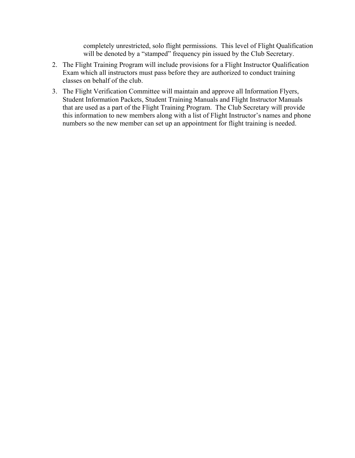completely unrestricted, solo flight permissions. This level of Flight Qualification will be denoted by a "stamped" frequency pin issued by the Club Secretary.

- 2. The Flight Training Program will include provisions for a Flight Instructor Qualification Exam which all instructors must pass before they are authorized to conduct training classes on behalf of the club.
- 3. The Flight Verification Committee will maintain and approve all Information Flyers, Student Information Packets, Student Training Manuals and Flight Instructor Manuals that are used as a part of the Flight Training Program. The Club Secretary will provide this information to new members along with a list of Flight Instructor's names and phone numbers so the new member can set up an appointment for flight training is needed.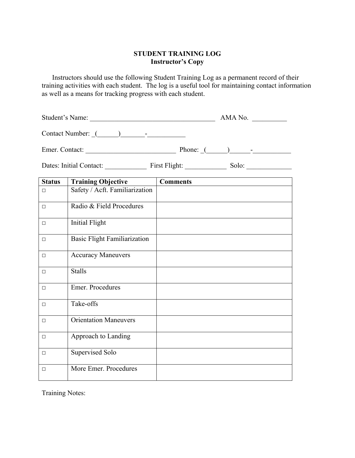### **STUDENT TRAINING LOG Instructor's Copy**

Instructors should use the following Student Training Log as a permanent record of their training activities with each student. The log is a useful tool for maintaining contact information as well as a means for tracking progress with each student.

Student's Name: \_\_\_\_\_\_\_\_\_\_\_\_\_\_\_\_\_\_\_\_\_\_\_\_\_\_\_\_\_\_\_\_\_\_\_\_ AMA No. \_\_\_\_\_\_\_\_\_\_

Contact Number: \_(\_\_\_\_\_\_)\_\_\_\_\_\_\_-\_\_\_\_\_\_\_\_\_\_\_

Emer. Contact: \_\_\_\_\_\_\_\_\_\_\_\_\_\_\_\_\_\_\_\_\_\_\_\_\_\_ Phone: \_(\_\_\_\_\_\_)\_\_\_\_\_\_-\_\_\_\_\_\_\_\_\_\_\_

Dates: Initial Contact: \_\_\_\_\_\_\_\_\_\_\_\_ First Flight: \_\_\_\_\_\_\_\_\_\_\_\_ Solo: \_\_\_\_\_\_\_\_\_\_\_\_\_

| <b>Status</b> | <b>Training Objective</b>           | <b>Comments</b> |
|---------------|-------------------------------------|-----------------|
| $\Box$        | Safety / Acft. Familiarization      |                 |
| $\Box$        | Radio & Field Procedures            |                 |
| $\Box$        | <b>Initial Flight</b>               |                 |
| $\Box$        | <b>Basic Flight Familiarization</b> |                 |
| $\Box$        | <b>Accuracy Maneuvers</b>           |                 |
| $\Box$        | <b>Stalls</b>                       |                 |
| $\Box$        | Emer. Procedures                    |                 |
| $\Box$        | Take-offs                           |                 |
| $\Box$        | <b>Orientation Maneuvers</b>        |                 |
| $\Box$        | Approach to Landing                 |                 |
| $\Box$        | Supervised Solo                     |                 |
| $\Box$        | More Emer. Procedures               |                 |

Training Notes: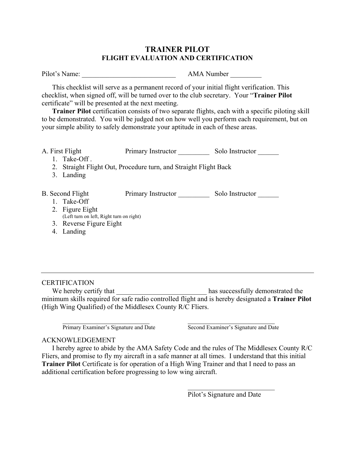### **TRAINER PILOT FLIGHT EVALUATION AND CERTIFICATION**

Pilot's Name: \_\_\_\_\_\_\_\_\_\_\_\_\_\_\_\_\_\_\_\_\_\_\_\_\_\_\_ AMA Number \_\_\_\_\_\_\_\_\_

This checklist will serve as a permanent record of your initial flight verification. This checklist, when signed off, will be turned over to the club secretary. Your "**Trainer Pilot** certificate" will be presented at the next meeting.

**Trainer Pilot** certification consists of two separate flights, each with a specific piloting skill to be demonstrated. You will be judged not on how well you perform each requirement, but on your simple ability to safely demonstrate your aptitude in each of these areas.

| A. First Flight  |                                          | Primary Instructor                                               | Solo Instructor |
|------------------|------------------------------------------|------------------------------------------------------------------|-----------------|
|                  | Take-Off.                                |                                                                  |                 |
|                  |                                          | 2. Straight Flight Out, Procedure turn, and Straight Flight Back |                 |
| 3.               | Landing                                  |                                                                  |                 |
|                  |                                          |                                                                  |                 |
| B. Second Flight |                                          | Primary Instructor                                               | Solo Instructor |
|                  | 1. Take-Off                              |                                                                  |                 |
|                  | 2. Figure Eight                          |                                                                  |                 |
|                  | (Left turn on left, Right turn on right) |                                                                  |                 |
|                  | 3. Reverse Figure Eight                  |                                                                  |                 |
| 4.               | Landing                                  |                                                                  |                 |
|                  |                                          |                                                                  |                 |
|                  |                                          |                                                                  |                 |

### **CERTIFICATION**

We hereby certify that has successfully demonstrated the minimum skills required for safe radio controlled flight and is hereby designated a **Trainer Pilot** (High Wing Qualified) of the Middlesex County R/C Fliers.

 $\mathcal{L}_\text{max}$  , and the contribution of the contribution of  $\mathcal{L}_\text{max}$ Primary Examiner's Signature and Date Second Examiner's Signature and Date

### ACKNOWLEDGEMENT

I hereby agree to abide by the AMA Safety Code and the rules of The Middlesex County R/C Fliers, and promise to fly my aircraft in a safe manner at all times. I understand that this initial **Trainer Pilot** Certificate is for operation of a High Wing Trainer and that I need to pass an additional certification before progressing to low wing aircraft.

> $\mathcal{L}_\text{max}$  , where  $\mathcal{L}_\text{max}$  , we are the set of the set of the set of the set of the set of the set of the set of the set of the set of the set of the set of the set of the set of the set of the set of the set of Pilot's Signature and Date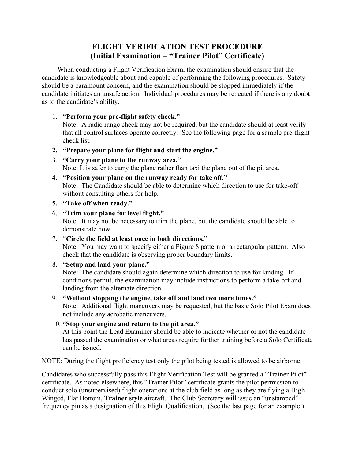# **FLIGHT VERIFICATION TEST PROCEDURE (Initial Examination – "Trainer Pilot" Certificate)**

When conducting a Flight Verification Exam, the examination should ensure that the candidate is knowledgeable about and capable of performing the following procedures. Safety should be a paramount concern, and the examination should be stopped immediately if the candidate initiates an unsafe action. Individual procedures may be repeated if there is any doubt as to the candidate's ability.

### 1. **"Perform your pre-flight safety check."**

Note: A radio range check may not be required, but the candidate should at least verify that all control surfaces operate correctly. See the following page for a sample pre-flight check list.

- **2. "Prepare your plane for flight and start the engine."**
- 3. **"Carry your plane to the runway area."** Note: It is safer to carry the plane rather than taxi the plane out of the pit area.
- 4. **"Position your plane on the runway ready for take off."** Note: The Candidate should be able to determine which direction to use for take-off without consulting others for help.
- **5. "Take off when ready."**
- 6. **"Trim your plane for level flight."** Note: It may not be necessary to trim the plane, but the candidate should be able to demonstrate how.
- 7. **"Circle the field at least once in both directions."** Note: You may want to specify either a Figure 8 pattern or a rectangular pattern. Also check that the candidate is observing proper boundary limits.

### 8. **"Setup and land your plane."**

Note: The candidate should again determine which direction to use for landing. If conditions permit, the examination may include instructions to perform a take-off and landing from the alternate direction.

### 9. **"Without stopping the engine, take off and land two more times."**

Note: Additional flight maneuvers may be requested, but the basic Solo Pilot Exam does not include any aerobatic maneuvers.

### 10. **"Stop your engine and return to the pit area."**

At this point the Lead Examiner should be able to indicate whether or not the candidate has passed the examination or what areas require further training before a Solo Certificate can be issued.

NOTE: During the flight proficiency test only the pilot being tested is allowed to be airborne.

Candidates who successfully pass this Flight Verification Test will be granted a "Trainer Pilot" certificate. As noted elsewhere, this "Trainer Pilot" certificate grants the pilot permission to conduct solo (unsupervised) flight operations at the club field as long as they are flying a High Winged, Flat Bottom, **Trainer style** aircraft. The Club Secretary will issue an "unstamped" frequency pin as a designation of this Flight Qualification. (See the last page for an example.)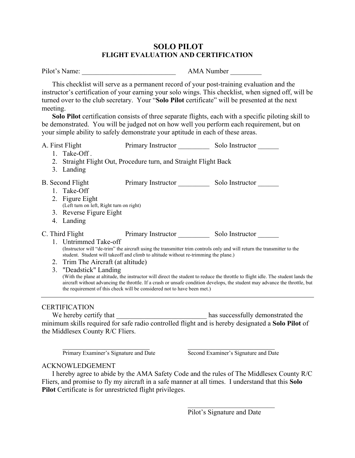### **SOLO PILOT FLIGHT EVALUATION AND CERTIFICATION**

| Pilot's Name: | <b>AMA</b> Number |
|---------------|-------------------|
|               |                   |

This checklist will serve as a permanent record of your post-training evaluation and the instructor's certification of your earning your solo wings. This checklist, when signed off, will be turned over to the club secretary. Your "**Solo Pilot** certificate" will be presented at the next meeting.

**Solo Pilot** certification consists of three separate flights, each with a specific piloting skill to be demonstrated. You will be judged not on how well you perform each requirement, but on your simple ability to safely demonstrate your aptitude in each of these areas.

| A. First Flight                          | Primary Instructor Solo Instructor                                                  |                                                                                                                                                                                                                                                                 |
|------------------------------------------|-------------------------------------------------------------------------------------|-----------------------------------------------------------------------------------------------------------------------------------------------------------------------------------------------------------------------------------------------------------------|
| 1. Take-Off.                             |                                                                                     |                                                                                                                                                                                                                                                                 |
|                                          | 2. Straight Flight Out, Procedure turn, and Straight Flight Back                    |                                                                                                                                                                                                                                                                 |
| 3. Landing                               |                                                                                     |                                                                                                                                                                                                                                                                 |
| B. Second Flight                         | Primary Instructor Solo Instructor                                                  |                                                                                                                                                                                                                                                                 |
| 1. Take-Off                              |                                                                                     |                                                                                                                                                                                                                                                                 |
| 2. Figure Eight                          |                                                                                     |                                                                                                                                                                                                                                                                 |
| (Left turn on left, Right turn on right) |                                                                                     |                                                                                                                                                                                                                                                                 |
| 3. Reverse Figure Eight                  |                                                                                     |                                                                                                                                                                                                                                                                 |
| 4. Landing                               |                                                                                     |                                                                                                                                                                                                                                                                 |
|                                          | C. Third Flight Primary Instructor Solo Instructor                                  |                                                                                                                                                                                                                                                                 |
| 1. Untrimmed Take-off                    | student. Student will takeoff and climb to altitude without re-trimming the plane.) | (Instructor will "de-trim" the aircraft using the transmitter trim controls only and will return the transmitter to the                                                                                                                                         |
| 2. Trim The Aircraft (at altitude)       |                                                                                     |                                                                                                                                                                                                                                                                 |
| 3. "Deadstick" Landing                   |                                                                                     |                                                                                                                                                                                                                                                                 |
|                                          | the requirement of this check will be considered not to have been met.)             | (With the plane at altitude, the instructor will direct the student to reduce the throttle to flight idle. The student lands the<br>aircraft without advancing the throttle. If a crash or unsafe condition develops, the student may advance the throttle, but |
|                                          |                                                                                     |                                                                                                                                                                                                                                                                 |
| <b>CERTIFICATION</b>                     |                                                                                     |                                                                                                                                                                                                                                                                 |
|                                          |                                                                                     |                                                                                                                                                                                                                                                                 |
|                                          |                                                                                     | minimum skills required for safe radio controlled flight and is hereby designated a Solo Pilot of                                                                                                                                                               |

the Middlesex County R/C Fliers.

 $\mathcal{L}_\text{max}$  , and the contribution of the contribution of  $\mathcal{L}_\text{max}$ Primary Examiner's Signature and Date Second Examiner's Signature and Date

### ACKNOWLEDGEMENT

I hereby agree to abide by the AMA Safety Code and the rules of The Middlesex County R/C Fliers, and promise to fly my aircraft in a safe manner at all times. I understand that this **Solo Pilot** Certificate is for unrestricted flight privileges.

Pilot's Signature and Date

 $\mathcal{L}_\text{max}$  , where  $\mathcal{L}_\text{max}$  , we are the set of the set of the set of the set of the set of the set of the set of the set of the set of the set of the set of the set of the set of the set of the set of the set of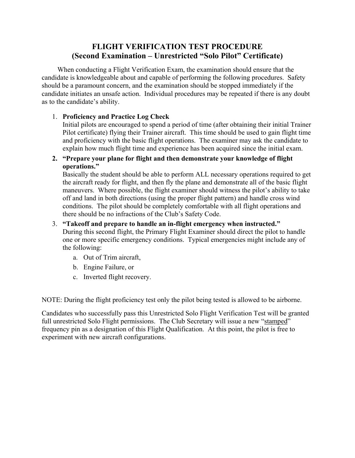# **FLIGHT VERIFICATION TEST PROCEDURE (Second Examination – Unrestricted "Solo Pilot" Certificate)**

When conducting a Flight Verification Exam, the examination should ensure that the candidate is knowledgeable about and capable of performing the following procedures. Safety should be a paramount concern, and the examination should be stopped immediately if the candidate initiates an unsafe action. Individual procedures may be repeated if there is any doubt as to the candidate's ability.

### 1. **Proficiency and Practice Log Check**

Initial pilots are encouraged to spend a period of time (after obtaining their initial Trainer Pilot certificate) flying their Trainer aircraft. This time should be used to gain flight time and proficiency with the basic flight operations. The examiner may ask the candidate to explain how much flight time and experience has been acquired since the initial exam.

### **2. "Prepare your plane for flight and then demonstrate your knowledge of flight operations."**

Basically the student should be able to perform ALL necessary operations required to get the aircraft ready for flight, and then fly the plane and demonstrate all of the basic flight maneuvers. Where possible, the flight examiner should witness the pilot's ability to take off and land in both directions (using the proper flight pattern) and handle cross wind conditions. The pilot should be completely comfortable with all flight operations and there should be no infractions of the Club's Safety Code.

### 3. **"Takeoff and prepare to handle an in-flight emergency when instructed."** During this second flight, the Primary Flight Examiner should direct the pilot to handle one or more specific emergency conditions. Typical emergencies might include any of the following:

- a. Out of Trim aircraft,
- b. Engine Failure, or
- c. Inverted flight recovery.

NOTE: During the flight proficiency test only the pilot being tested is allowed to be airborne.

Candidates who successfully pass this Unrestricted Solo Flight Verification Test will be granted full unrestricted Solo Flight permissions. The Club Secretary will issue a new "stamped" frequency pin as a designation of this Flight Qualification. At this point, the pilot is free to experiment with new aircraft configurations.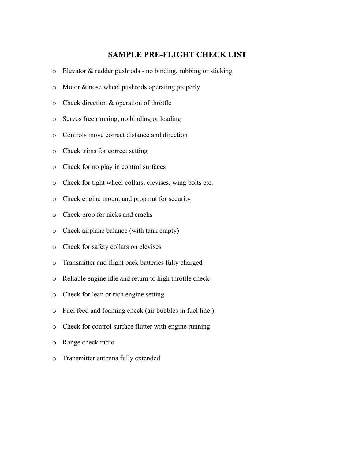### **SAMPLE PRE-FLIGHT CHECK LIST**

- o Elevator & rudder pushrods no binding, rubbing or sticking
- o Motor & nose wheel pushrods operating properly
- o Check direction & operation of throttle
- o Servos free running, no binding or loading
- o Controls move correct distance and direction
- o Check trims for correct setting
- o Check for no play in control surfaces
- o Check for tight wheel collars, clevises, wing bolts etc.
- o Check engine mount and prop nut for security
- o Check prop for nicks and cracks
- o Check airplane balance (with tank empty)
- o Check for safety collars on clevises
- o Transmitter and flight pack batteries fully charged
- o Reliable engine idle and return to high throttle check
- o Check for lean or rich engine setting
- o Fuel feed and foaming check (air bubbles in fuel line )
- o Check for control surface flutter with engine running
- o Range check radio
- o Transmitter antenna fully extended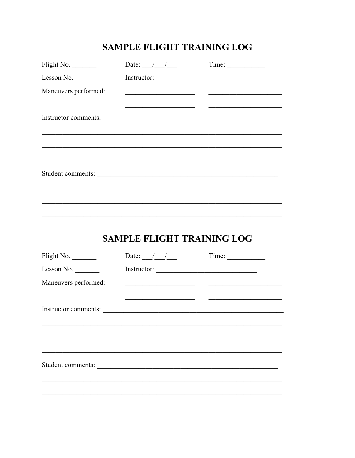# SAMPLE FLIGHT TRAINING LOG

| Flight No.               | Date: $\frac{1}{\sqrt{2}}$        | Time:                                                                             |
|--------------------------|-----------------------------------|-----------------------------------------------------------------------------------|
| Lesson No.               |                                   |                                                                                   |
| Maneuvers performed:     |                                   |                                                                                   |
|                          |                                   | <u> 1989 - Johann Stein, fransk politik (d. 1989)</u>                             |
|                          | Instructor comments:              |                                                                                   |
|                          |                                   |                                                                                   |
|                          |                                   |                                                                                   |
|                          |                                   |                                                                                   |
|                          |                                   | Student comments:                                                                 |
|                          |                                   |                                                                                   |
|                          |                                   | ,我们也不能在这里的人,我们也不能在这里的人,我们也不能在这里的人,我们也不能在这里的人,我们也不能在这里的人,我们也不能在这里的人,我们也不能在这里的人,我们也 |
|                          |                                   |                                                                                   |
|                          |                                   |                                                                                   |
|                          |                                   |                                                                                   |
|                          | <b>SAMPLE FLIGHT TRAINING LOG</b> |                                                                                   |
|                          | Date: $\frac{1}{\sqrt{2}}$        | Time:                                                                             |
| Flight No.<br>Lesson No. |                                   |                                                                                   |
| Maneuvers performed:     |                                   | <u> 1989 - Johann Barn, mars et al. (b. 1989)</u>                                 |
|                          |                                   |                                                                                   |
|                          |                                   |                                                                                   |
|                          |                                   | Instructor comments:                                                              |
|                          |                                   |                                                                                   |
|                          |                                   |                                                                                   |
| Student comments:        |                                   |                                                                                   |
|                          |                                   |                                                                                   |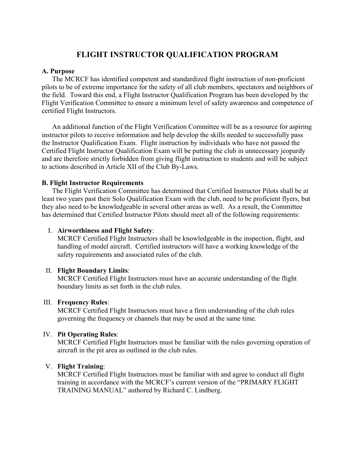## **FLIGHT INSTRUCTOR QUALIFICATION PROGRAM**

### **A. Purpose**

The MCRCF has identified competent and standardized flight instruction of non-proficient pilots to be of extreme importance for the safety of all club members, spectators and neighbors of the field. Toward this end, a Flight Instructor Qualification Program has been developed by the Flight Verification Committee to ensure a minimum level of safety awareness and competence of certified Flight Instructors.

An additional function of the Flight Verification Committee will be as a resource for aspiring instructor pilots to receive information and help develop the skills needed to successfully pass the Instructor Qualification Exam. Flight instruction by individuals who have not passed the Certified Flight Instructor Qualification Exam will be putting the club in unnecessary jeopardy and are therefore strictly forbidden from giving flight instruction to students and will be subject to actions described in Article XII of the Club By-Laws.

### **B. Flight Instructor Requirements**

The Flight Verification Committee has determined that Certified Instructor Pilots shall be at least two years past their Solo Qualification Exam with the club, need to be proficient flyers, but they also need to be knowledgeable in several other areas as well. As a result, the Committee has determined that Certified Instructor Pilots should meet all of the following requirements:

### I. **Airworthiness and Flight Safety**:

MCRCF Certified Flight Instructors shall be knowledgeable in the inspection, flight, and handling of model aircraft. Certified instructors will have a working knowledge of the safety requirements and associated rules of the club.

### II. **Flight Boundary Limits**:

MCRCF Certified Flight Instructors must have an accurate understanding of the flight boundary limits as set forth in the club rules.

### III. **Frequency Rules**:

MCRCF Certified Flight Instructors must have a firm understanding of the club rules governing the frequency or channels that may be used at the same time.

#### IV. **Pit Operating Rules**:

MCRCF Certified Flight Instructors must be familiar with the rules governing operation of aircraft in the pit area as outlined in the club rules.

### V. **Flight Training**:

MCRCF Certified Flight Instructors must be familiar with and agree to conduct all flight training in accordance with the MCRCF's current version of the "PRIMARY FLIGHT TRAINING MANUAL" authored by Richard C. Lindberg.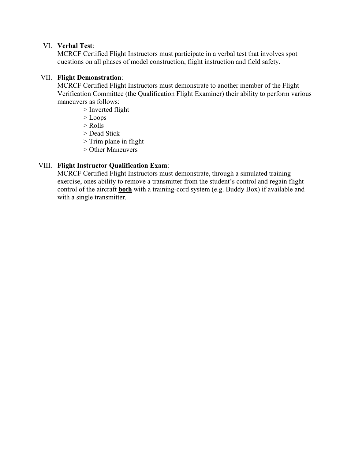### VI. **Verbal Test**:

MCRCF Certified Flight Instructors must participate in a verbal test that involves spot questions on all phases of model construction, flight instruction and field safety.

### VII. **Flight Demonstration**:

MCRCF Certified Flight Instructors must demonstrate to another member of the Flight Verification Committee (the Qualification Flight Examiner) their ability to perform various maneuvers as follows:

- > Inverted flight
- > Loops
- > Rolls
- > Dead Stick
- > Trim plane in flight
- > Other Maneuvers

### VIII. **Flight Instructor Qualification Exam**:

MCRCF Certified Flight Instructors must demonstrate, through a simulated training exercise, ones ability to remove a transmitter from the student's control and regain flight control of the aircraft **both** with a training-cord system (e.g. Buddy Box) if available and with a single transmitter.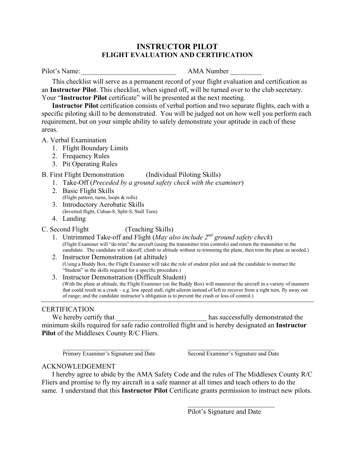### **INSTRUCTOR PILOT FLIGHT EVALUATION AND CERTIFICATION**

Pilot's Name: **AMA Number AMA Number** 

This checklist will serve as a permanent record of your flight evaluation and certification as an **Instructor Pilot**. This checklist, when signed off, will be turned over to the club secretary. Your "**Instructor Pilot** certificate" will be presented at the next meeting.

**Instructor Pilot** certification consists of verbal portion and two separate flights, each with a specific piloting skill to be demonstrated. You will be judged not on how well you perform each requirement, but on your simple ability to safely demonstrate your aptitude in each of these areas.

A. Verbal Examination

- 1. Flight Boundary Limits
- 2. Frequency Rules
- 3. Pit Operating Rules

### B. First Flight Demonstration (Individual Piloting Skills)

- 1. Take-Off (*Preceded by a ground safety check with the examiner*)
- 2. Basic Flight Skills (Flight pattern, turns, loops & rolls)
- 3. Introductory Aerobatic Skills (Inverted flight, Cuban-8, Split-S, Stall Turn)
- 4. Landing

### C. Second Flight (Teaching Skills)

- 1. Untrimmed Take-off and Flight (*May also include 2nd ground safety check*) (Flight Examiner will "de-trim" the aircraft (using the transmitter trim controls) and return the transmitter to the candidate. The candidate will takeoff, climb to altitude without re-trimming the plane, then trim the plane as needed.)
- 2. Instructor Demonstration (at altitude) (Using a Buddy Box, the Flight Examiner will take the role of student pilot and ask the candidate to instruct the "Student" in the skills required for a specific procedure.)
- 3. Instructor Demonstration (Difficult Student) (With the plane at altitude, the Flight Examiner (on the Buddy Box) will maneuver the aircraft in a variety of manners that could result in a crash – e.g. low speed stall, right aileron instead of left to recover from a right turn, fly away out of range; and the candidate instructor's obligation is to prevent the crash or loss of control.)

### **CERTIFICATION**

We hereby certify that the same state of the successfully demonstrated the vertex of the state of the state of the state of the state of the state of the state of the state of the state of the state of the state of the sta minimum skills required for safe radio controlled flight and is hereby designated an **Instructor Pilot** of the Middlesex County R/C Fliers.

 $\mathcal{L}_\text{max}$  , and the contribution of the contribution of  $\mathcal{L}_\text{max}$ Primary Examiner's Signature and Date Second Examiner's Signature and Date

### ACKNOWLEDGEMENT

I hereby agree to abide by the AMA Safety Code and the rules of The Middlesex County R/C Fliers and promise to fly my aircraft in a safe manner at all times and teach others to do the same. I understand that this **Instructor Pilot** Certificate grants permission to instruct new pilots.

> $\mathcal{L}_\text{max}$  , where  $\mathcal{L}_\text{max}$  , we are the set of the set of the set of the set of the set of the set of the set of the set of the set of the set of the set of the set of the set of the set of the set of the set of Pilot's Signature and Date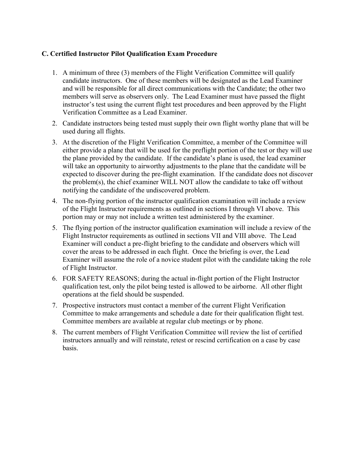### **C. Certified Instructor Pilot Qualification Exam Procedure**

- 1. A minimum of three (3) members of the Flight Verification Committee will qualify candidate instructors. One of these members will be designated as the Lead Examiner and will be responsible for all direct communications with the Candidate; the other two members will serve as observers only. The Lead Examiner must have passed the flight instructor's test using the current flight test procedures and been approved by the Flight Verification Committee as a Lead Examiner.
- 2. Candidate instructors being tested must supply their own flight worthy plane that will be used during all flights.
- 3. At the discretion of the Flight Verification Committee, a member of the Committee will either provide a plane that will be used for the preflight portion of the test or they will use the plane provided by the candidate. If the candidate's plane is used, the lead examiner will take an opportunity to airworthy adjustments to the plane that the candidate will be expected to discover during the pre-flight examination. If the candidate does not discover the problem(s), the chief examiner WILL NOT allow the candidate to take off without notifying the candidate of the undiscovered problem.
- 4. The non-flying portion of the instructor qualification examination will include a review of the Flight Instructor requirements as outlined in sections I through VI above. This portion may or may not include a written test administered by the examiner.
- 5. The flying portion of the instructor qualification examination will include a review of the Flight Instructor requirements as outlined in sections VII and VIII above. The Lead Examiner will conduct a pre-flight briefing to the candidate and observers which will cover the areas to be addressed in each flight. Once the briefing is over, the Lead Examiner will assume the role of a novice student pilot with the candidate taking the role of Flight Instructor.
- 6. FOR SAFETY REASONS; during the actual in-flight portion of the Flight Instructor qualification test, only the pilot being tested is allowed to be airborne. All other flight operations at the field should be suspended.
- 7. Prospective instructors must contact a member of the current Flight Verification Committee to make arrangements and schedule a date for their qualification flight test. Committee members are available at regular club meetings or by phone.
- 8. The current members of Flight Verification Committee will review the list of certified instructors annually and will reinstate, retest or rescind certification on a case by case basis.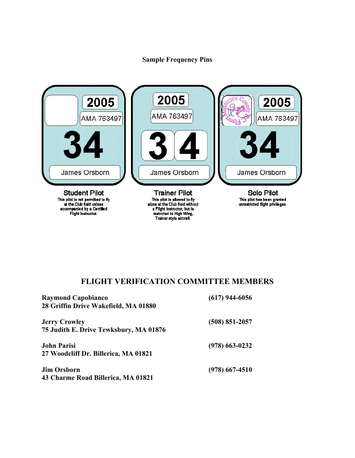### **Sample Frequency Pins**



# **FLIGHT VERIFICATION COMMITTEE MEMBERS**

| <b>Raymond Capobianco</b><br>28 Griffin Drive Wakefield, MA 01880 | $(617)$ 944-6056 |  |
|-------------------------------------------------------------------|------------------|--|
| <b>Jerry Crowley</b><br>75 Judith E. Drive Tewksbury, MA 01876    | $(508)$ 851-2057 |  |
| <b>John Parisi</b><br>27 Woodcliff Dr. Billerica, MA 01821        | $(978)$ 663-0232 |  |
| <b>Jim Orsborn</b><br>43 Charme Road Billerica, MA 01821          | $(978)$ 667-4510 |  |